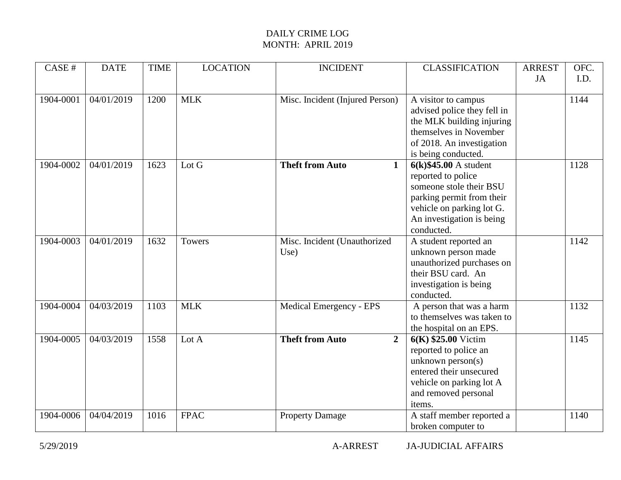| CASE#     | <b>DATE</b> | <b>TIME</b> | <b>LOCATION</b> | <b>INCIDENT</b>                          | <b>CLASSIFICATION</b>                           | <b>ARREST</b> | OFC. |
|-----------|-------------|-------------|-----------------|------------------------------------------|-------------------------------------------------|---------------|------|
|           |             |             |                 |                                          |                                                 | JA            | I.D. |
|           | 04/01/2019  |             | <b>MLK</b>      |                                          |                                                 |               | 1144 |
| 1904-0001 |             | 1200        |                 | Misc. Incident (Injured Person)          | A visitor to campus                             |               |      |
|           |             |             |                 |                                          | advised police they fell in                     |               |      |
|           |             |             |                 |                                          | the MLK building injuring                       |               |      |
|           |             |             |                 |                                          | themselves in November                          |               |      |
|           |             |             |                 |                                          | of 2018. An investigation                       |               |      |
|           |             |             |                 |                                          | is being conducted.                             |               |      |
| 1904-0002 | 04/01/2019  | 1623        | Lot G           | <b>Theft from Auto</b><br>$\mathbf{1}$   | $6(k)$ \$45.00 A student                        |               | 1128 |
|           |             |             |                 |                                          | reported to police                              |               |      |
|           |             |             |                 |                                          | someone stole their BSU                         |               |      |
|           |             |             |                 |                                          | parking permit from their                       |               |      |
|           |             |             |                 |                                          | vehicle on parking lot G.                       |               |      |
|           |             |             |                 |                                          | An investigation is being                       |               |      |
|           |             |             |                 |                                          | conducted.                                      |               |      |
| 1904-0003 | 04/01/2019  | 1632        | Towers          | Misc. Incident (Unauthorized             | A student reported an                           |               | 1142 |
|           |             |             |                 | Use)                                     | unknown person made                             |               |      |
|           |             |             |                 |                                          | unauthorized purchases on                       |               |      |
|           |             |             |                 |                                          | their BSU card. An                              |               |      |
|           |             |             |                 |                                          | investigation is being                          |               |      |
|           |             |             |                 |                                          | conducted.                                      |               |      |
| 1904-0004 | 04/03/2019  | 1103        | <b>MLK</b>      | <b>Medical Emergency - EPS</b>           | A person that was a harm                        |               | 1132 |
|           |             |             |                 |                                          | to themselves was taken to                      |               |      |
|           |             |             |                 |                                          | the hospital on an EPS.                         |               |      |
| 1904-0005 | 04/03/2019  | 1558        | Lot A           | <b>Theft from Auto</b><br>$\overline{2}$ | $6(K)$ \$25.00 Victim                           |               | 1145 |
|           |             |             |                 |                                          | reported to police an                           |               |      |
|           |             |             |                 |                                          | unknown $person(s)$                             |               |      |
|           |             |             |                 |                                          | entered their unsecured                         |               |      |
|           |             |             |                 |                                          | vehicle on parking lot A                        |               |      |
|           |             |             |                 |                                          | and removed personal                            |               |      |
|           |             |             |                 |                                          | items.                                          |               |      |
|           |             |             |                 |                                          |                                                 |               |      |
|           |             |             |                 |                                          |                                                 |               |      |
| 1904-0006 | 04/04/2019  | 1016        | <b>FPAC</b>     | <b>Property Damage</b>                   | A staff member reported a<br>broken computer to |               | 1140 |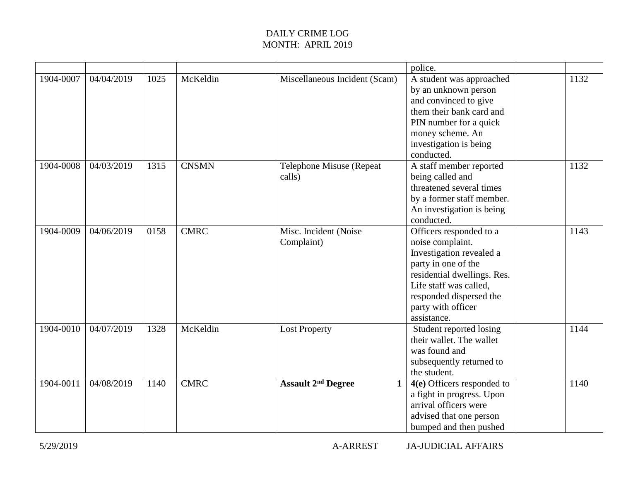|           |            |      |              |                                                      | police.                     |      |
|-----------|------------|------|--------------|------------------------------------------------------|-----------------------------|------|
| 1904-0007 | 04/04/2019 | 1025 | McKeldin     | Miscellaneous Incident (Scam)                        | A student was approached    | 1132 |
|           |            |      |              |                                                      | by an unknown person        |      |
|           |            |      |              |                                                      | and convinced to give       |      |
|           |            |      |              |                                                      | them their bank card and    |      |
|           |            |      |              |                                                      | PIN number for a quick      |      |
|           |            |      |              |                                                      | money scheme. An            |      |
|           |            |      |              |                                                      | investigation is being      |      |
|           |            |      |              |                                                      | conducted.                  |      |
| 1904-0008 | 04/03/2019 | 1315 | <b>CNSMN</b> | Telephone Misuse (Repeat                             | A staff member reported     | 1132 |
|           |            |      |              | calls)                                               | being called and            |      |
|           |            |      |              |                                                      | threatened several times    |      |
|           |            |      |              |                                                      | by a former staff member.   |      |
|           |            |      |              |                                                      | An investigation is being   |      |
|           |            |      |              |                                                      | conducted.                  |      |
| 1904-0009 | 04/06/2019 | 0158 | <b>CMRC</b>  | Misc. Incident (Noise                                | Officers responded to a     | 1143 |
|           |            |      |              | Complaint)                                           | noise complaint.            |      |
|           |            |      |              |                                                      | Investigation revealed a    |      |
|           |            |      |              |                                                      | party in one of the         |      |
|           |            |      |              |                                                      | residential dwellings. Res. |      |
|           |            |      |              |                                                      | Life staff was called,      |      |
|           |            |      |              |                                                      | responded dispersed the     |      |
|           |            |      |              |                                                      | party with officer          |      |
|           |            |      |              |                                                      | assistance.                 |      |
| 1904-0010 | 04/07/2019 | 1328 | McKeldin     | <b>Lost Property</b>                                 | Student reported losing     | 1144 |
|           |            |      |              |                                                      | their wallet. The wallet    |      |
|           |            |      |              |                                                      | was found and               |      |
|           |            |      |              |                                                      | subsequently returned to    |      |
|           |            |      |              |                                                      | the student.                |      |
| 1904-0011 | 04/08/2019 | 1140 | <b>CMRC</b>  | <b>Assault 2<sup>nd</sup> Degree</b><br>$\mathbf{1}$ | 4(e) Officers responded to  | 1140 |
|           |            |      |              |                                                      | a fight in progress. Upon   |      |
|           |            |      |              |                                                      | arrival officers were       |      |
|           |            |      |              |                                                      | advised that one person     |      |
|           |            |      |              |                                                      | bumped and then pushed      |      |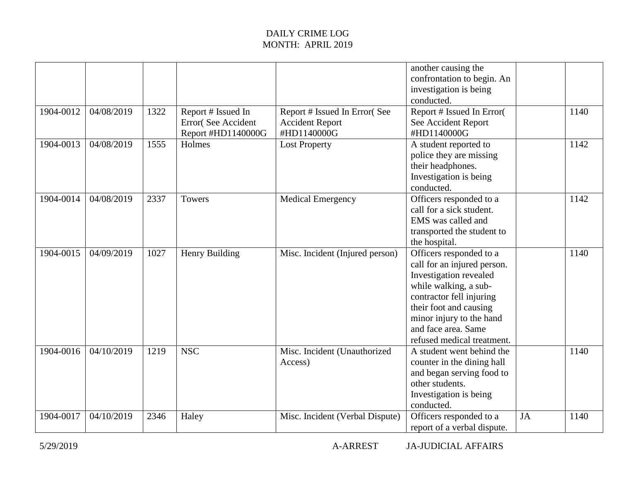|           |            |      |                                                                |                                                                       | another causing the<br>confrontation to begin. An<br>investigation is being<br>conducted.                                                                                                                                                        |           |      |
|-----------|------------|------|----------------------------------------------------------------|-----------------------------------------------------------------------|--------------------------------------------------------------------------------------------------------------------------------------------------------------------------------------------------------------------------------------------------|-----------|------|
| 1904-0012 | 04/08/2019 | 1322 | Report # Issued In<br>Error(See Accident<br>Report #HD1140000G | Report # Issued In Error(See<br><b>Accident Report</b><br>#HD1140000G | Report # Issued In Error(<br>See Accident Report<br>#HD1140000G                                                                                                                                                                                  |           | 1140 |
| 1904-0013 | 04/08/2019 | 1555 | Holmes                                                         | <b>Lost Property</b>                                                  | A student reported to<br>police they are missing<br>their headphones.<br>Investigation is being<br>conducted.                                                                                                                                    |           | 1142 |
| 1904-0014 | 04/08/2019 | 2337 | Towers                                                         | <b>Medical Emergency</b>                                              | Officers responded to a<br>call for a sick student.<br>EMS was called and<br>transported the student to<br>the hospital.                                                                                                                         |           | 1142 |
| 1904-0015 | 04/09/2019 | 1027 | Henry Building                                                 | Misc. Incident (Injured person)                                       | Officers responded to a<br>call for an injured person.<br>Investigation revealed<br>while walking, a sub-<br>contractor fell injuring<br>their foot and causing<br>minor injury to the hand<br>and face area. Same<br>refused medical treatment. |           | 1140 |
| 1904-0016 | 04/10/2019 | 1219 | <b>NSC</b>                                                     | Misc. Incident (Unauthorized<br>Access)                               | A student went behind the<br>counter in the dining hall<br>and began serving food to<br>other students.<br>Investigation is being<br>conducted.                                                                                                  |           | 1140 |
| 1904-0017 | 04/10/2019 | 2346 | Haley                                                          | Misc. Incident (Verbal Dispute)                                       | Officers responded to a<br>report of a verbal dispute.                                                                                                                                                                                           | <b>JA</b> | 1140 |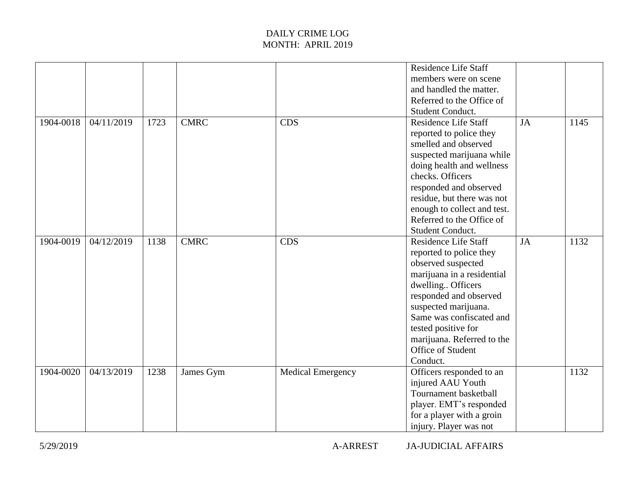|           |            |      |             |                          | <b>Residence Life Staff</b><br>members were on scene<br>and handled the matter.<br>Referred to the Office of<br>Student Conduct.                                                                                                                                                                     |    |      |
|-----------|------------|------|-------------|--------------------------|------------------------------------------------------------------------------------------------------------------------------------------------------------------------------------------------------------------------------------------------------------------------------------------------------|----|------|
| 1904-0018 | 04/11/2019 | 1723 | <b>CMRC</b> | <b>CDS</b>               | <b>Residence Life Staff</b><br>reported to police they<br>smelled and observed<br>suspected marijuana while<br>doing health and wellness<br>checks. Officers<br>responded and observed<br>residue, but there was not<br>enough to collect and test.<br>Referred to the Office of<br>Student Conduct. | JA | 1145 |
| 1904-0019 | 04/12/2019 | 1138 | <b>CMRC</b> | <b>CDS</b>               | <b>Residence Life Staff</b><br>reported to police they<br>observed suspected<br>marijuana in a residential<br>dwelling Officers<br>responded and observed<br>suspected marijuana.<br>Same was confiscated and<br>tested positive for<br>marijuana. Referred to the<br>Office of Student<br>Conduct.  | JA | 1132 |
| 1904-0020 | 04/13/2019 | 1238 | James Gym   | <b>Medical Emergency</b> | Officers responded to an<br>injured AAU Youth<br>Tournament basketball<br>player. EMT's responded<br>for a player with a groin<br>injury. Player was not                                                                                                                                             |    | 1132 |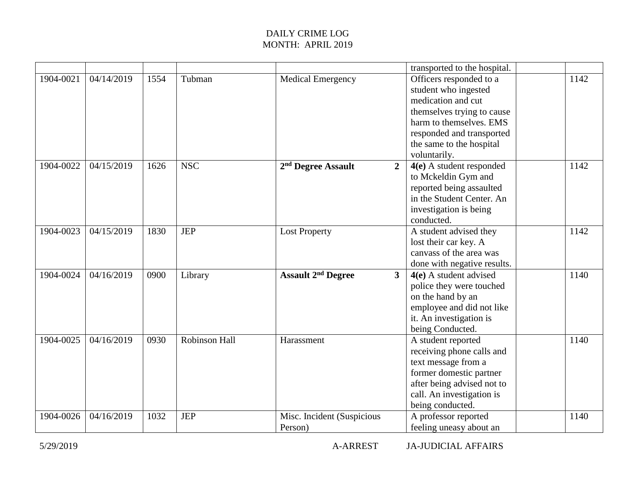|           |            |      |                      |                                                  | transported to the hospital. |      |
|-----------|------------|------|----------------------|--------------------------------------------------|------------------------------|------|
| 1904-0021 | 04/14/2019 | 1554 | Tubman               | <b>Medical Emergency</b>                         | Officers responded to a      | 1142 |
|           |            |      |                      |                                                  | student who ingested         |      |
|           |            |      |                      |                                                  | medication and cut           |      |
|           |            |      |                      |                                                  | themselves trying to cause   |      |
|           |            |      |                      |                                                  | harm to themselves. EMS      |      |
|           |            |      |                      |                                                  | responded and transported    |      |
|           |            |      |                      |                                                  | the same to the hospital     |      |
|           |            |      |                      |                                                  | voluntarily.                 |      |
| 1904-0022 | 04/15/2019 | 1626 | <b>NSC</b>           | 2 <sup>nd</sup> Degree Assault<br>$\overline{2}$ | $4(e)$ A student responded   | 1142 |
|           |            |      |                      |                                                  | to Mckeldin Gym and          |      |
|           |            |      |                      |                                                  | reported being assaulted     |      |
|           |            |      |                      |                                                  | in the Student Center. An    |      |
|           |            |      |                      |                                                  | investigation is being       |      |
|           |            |      |                      |                                                  | conducted.                   |      |
| 1904-0023 | 04/15/2019 | 1830 | <b>JEP</b>           | <b>Lost Property</b>                             | A student advised they       | 1142 |
|           |            |      |                      |                                                  | lost their car key. A        |      |
|           |            |      |                      |                                                  | canvass of the area was      |      |
|           |            |      |                      |                                                  | done with negative results.  |      |
| 1904-0024 | 04/16/2019 | 0900 | Library              | <b>Assault 2<sup>nd</sup> Degree</b><br>3        | $4(e)$ A student advised     | 1140 |
|           |            |      |                      |                                                  | police they were touched     |      |
|           |            |      |                      |                                                  | on the hand by an            |      |
|           |            |      |                      |                                                  | employee and did not like    |      |
|           |            |      |                      |                                                  | it. An investigation is      |      |
|           |            |      |                      |                                                  | being Conducted.             |      |
| 1904-0025 | 04/16/2019 | 0930 | <b>Robinson Hall</b> | Harassment                                       | A student reported           | 1140 |
|           |            |      |                      |                                                  | receiving phone calls and    |      |
|           |            |      |                      |                                                  | text message from a          |      |
|           |            |      |                      |                                                  | former domestic partner      |      |
|           |            |      |                      |                                                  | after being advised not to   |      |
|           |            |      |                      |                                                  | call. An investigation is    |      |
|           |            |      |                      |                                                  | being conducted.             |      |
| 1904-0026 | 04/16/2019 | 1032 | <b>JEP</b>           | Misc. Incident (Suspicious                       | A professor reported         | 1140 |
|           |            |      |                      | Person)                                          | feeling uneasy about an      |      |

5/29/2019 A-ARREST JA-JUDICIAL AFFAIRS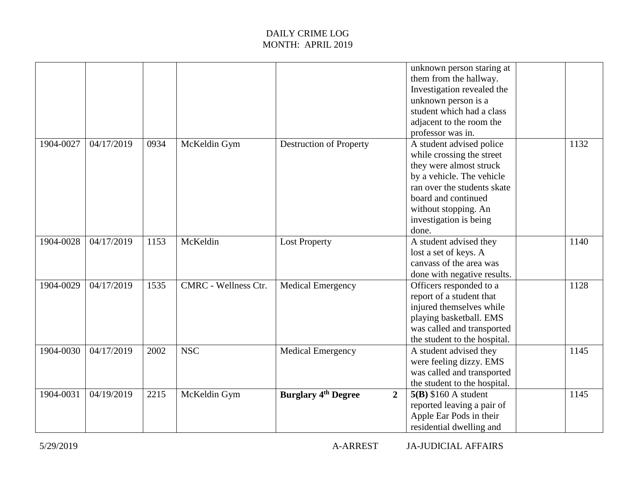|           |            |      |                             |                                              | unknown person staring at<br>them from the hallway.<br>Investigation revealed the<br>unknown person is a<br>student which had a class<br>adjacent to the room the<br>professor was in.                                         |      |  |
|-----------|------------|------|-----------------------------|----------------------------------------------|--------------------------------------------------------------------------------------------------------------------------------------------------------------------------------------------------------------------------------|------|--|
| 1904-0027 | 04/17/2019 | 0934 | McKeldin Gym                | <b>Destruction of Property</b>               | A student advised police<br>while crossing the street<br>they were almost struck<br>by a vehicle. The vehicle<br>ran over the students skate<br>board and continued<br>without stopping. An<br>investigation is being<br>done. | 1132 |  |
| 1904-0028 | 04/17/2019 | 1153 | McKeldin                    | <b>Lost Property</b>                         | A student advised they<br>lost a set of keys. A<br>canvass of the area was<br>done with negative results.                                                                                                                      | 1140 |  |
| 1904-0029 | 04/17/2019 | 1535 | <b>CMRC</b> - Wellness Ctr. | <b>Medical Emergency</b>                     | Officers responded to a<br>report of a student that<br>injured themselves while<br>playing basketball. EMS<br>was called and transported<br>the student to the hospital.                                                       | 1128 |  |
| 1904-0030 | 04/17/2019 | 2002 | <b>NSC</b>                  | <b>Medical Emergency</b>                     | A student advised they<br>were feeling dizzy. EMS<br>was called and transported<br>the student to the hospital.                                                                                                                | 1145 |  |
| 1904-0031 | 04/19/2019 | 2215 | McKeldin Gym                | $\overline{2}$<br><b>Burglary 4th Degree</b> | $5(B)$ \$160 A student<br>reported leaving a pair of<br>Apple Ear Pods in their<br>residential dwelling and                                                                                                                    | 1145 |  |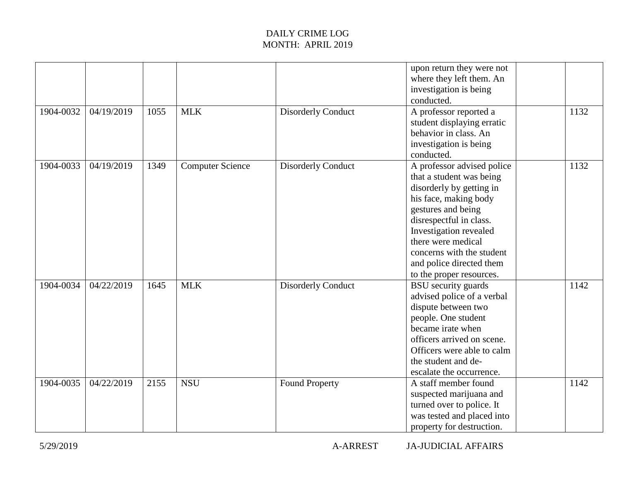|           |            |      |                  |                           | upon return they were not<br>where they left them. An<br>investigation is being<br>conducted.                                                                                                                                                                                                     |      |
|-----------|------------|------|------------------|---------------------------|---------------------------------------------------------------------------------------------------------------------------------------------------------------------------------------------------------------------------------------------------------------------------------------------------|------|
| 1904-0032 | 04/19/2019 | 1055 | <b>MLK</b>       | <b>Disorderly Conduct</b> | A professor reported a<br>student displaying erratic<br>behavior in class. An<br>investigation is being<br>conducted.                                                                                                                                                                             | 1132 |
| 1904-0033 | 04/19/2019 | 1349 | Computer Science | <b>Disorderly Conduct</b> | A professor advised police<br>that a student was being<br>disorderly by getting in<br>his face, making body<br>gestures and being<br>disrespectful in class.<br>Investigation revealed<br>there were medical<br>concerns with the student<br>and police directed them<br>to the proper resources. | 1132 |
| 1904-0034 | 04/22/2019 | 1645 | <b>MLK</b>       | <b>Disorderly Conduct</b> | <b>BSU</b> security guards<br>advised police of a verbal<br>dispute between two<br>people. One student<br>became irate when<br>officers arrived on scene.<br>Officers were able to calm<br>the student and de-<br>escalate the occurrence.                                                        | 1142 |
| 1904-0035 | 04/22/2019 | 2155 | <b>NSU</b>       | <b>Found Property</b>     | A staff member found<br>suspected marijuana and<br>turned over to police. It<br>was tested and placed into<br>property for destruction.                                                                                                                                                           | 1142 |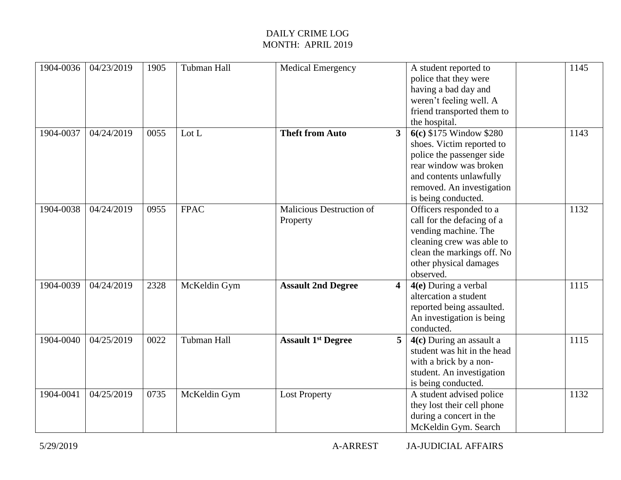| 1904-0036 | 04/23/2019 | 1905 | Tubman Hall  | <b>Medical Emergency</b>             | A student reported to<br>police that they were<br>having a bad day and<br>weren't feeling well. A<br>friend transported them to<br>the hospital.                                                             | 1145 |
|-----------|------------|------|--------------|--------------------------------------|--------------------------------------------------------------------------------------------------------------------------------------------------------------------------------------------------------------|------|
| 1904-0037 | 04/24/2019 | 0055 | Lot L        | <b>Theft from Auto</b>               | 6(c) \$175 Window \$280<br>3 <sup>1</sup><br>shoes. Victim reported to<br>police the passenger side<br>rear window was broken<br>and contents unlawfully<br>removed. An investigation<br>is being conducted. | 1143 |
| 1904-0038 | 04/24/2019 | 0955 | <b>FPAC</b>  | Malicious Destruction of<br>Property | Officers responded to a<br>call for the defacing of a<br>vending machine. The<br>cleaning crew was able to<br>clean the markings off. No<br>other physical damages<br>observed.                              | 1132 |
| 1904-0039 | 04/24/2019 | 2328 | McKeldin Gym | <b>Assault 2nd Degree</b>            | 4(e) During a verbal<br>$\overline{\mathbf{4}}$<br>altercation a student<br>reported being assaulted.<br>An investigation is being<br>conducted.                                                             | 1115 |
| 1904-0040 | 04/25/2019 | 0022 | Tubman Hall  | <b>Assault 1st Degree</b>            | 4(c) During an assault a<br>5 <sup>5</sup><br>student was hit in the head<br>with a brick by a non-<br>student. An investigation<br>is being conducted.                                                      | 1115 |
| 1904-0041 | 04/25/2019 | 0735 | McKeldin Gym | <b>Lost Property</b>                 | A student advised police<br>they lost their cell phone<br>during a concert in the<br>McKeldin Gym. Search                                                                                                    | 1132 |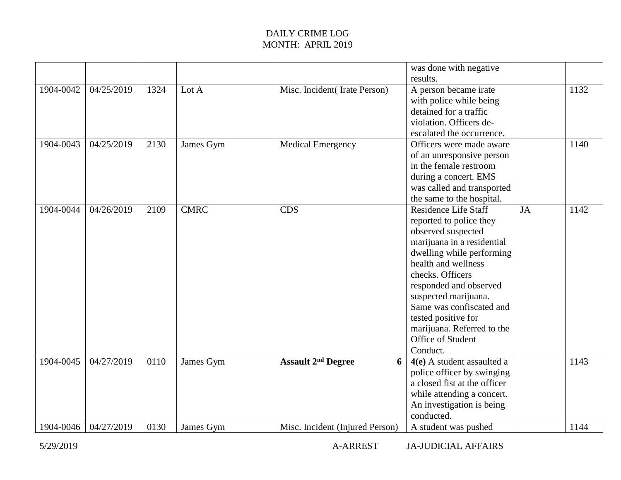|           |            |      |             |                                           | was done with negative       |    |      |
|-----------|------------|------|-------------|-------------------------------------------|------------------------------|----|------|
|           |            |      |             |                                           | results.                     |    |      |
| 1904-0042 | 04/25/2019 | 1324 | Lot A       | Misc. Incident(Irate Person)              | A person became irate        |    | 1132 |
|           |            |      |             |                                           | with police while being      |    |      |
|           |            |      |             |                                           | detained for a traffic       |    |      |
|           |            |      |             |                                           | violation. Officers de-      |    |      |
|           |            |      |             |                                           | escalated the occurrence.    |    |      |
| 1904-0043 | 04/25/2019 | 2130 | James Gym   | <b>Medical Emergency</b>                  | Officers were made aware     |    | 1140 |
|           |            |      |             |                                           | of an unresponsive person    |    |      |
|           |            |      |             |                                           | in the female restroom       |    |      |
|           |            |      |             |                                           | during a concert. EMS        |    |      |
|           |            |      |             |                                           | was called and transported   |    |      |
|           |            |      |             |                                           | the same to the hospital.    |    |      |
| 1904-0044 | 04/26/2019 | 2109 | <b>CMRC</b> | <b>CDS</b>                                | <b>Residence Life Staff</b>  | JA | 1142 |
|           |            |      |             |                                           | reported to police they      |    |      |
|           |            |      |             |                                           | observed suspected           |    |      |
|           |            |      |             |                                           | marijuana in a residential   |    |      |
|           |            |      |             |                                           | dwelling while performing    |    |      |
|           |            |      |             |                                           | health and wellness          |    |      |
|           |            |      |             |                                           | checks. Officers             |    |      |
|           |            |      |             |                                           | responded and observed       |    |      |
|           |            |      |             |                                           | suspected marijuana.         |    |      |
|           |            |      |             |                                           | Same was confiscated and     |    |      |
|           |            |      |             |                                           | tested positive for          |    |      |
|           |            |      |             |                                           | marijuana. Referred to the   |    |      |
|           |            |      |             |                                           | Office of Student            |    |      |
|           |            |      |             |                                           | Conduct.                     |    |      |
| 1904-0045 | 04/27/2019 | 0110 | James Gym   | <b>Assault 2<sup>nd</sup> Degree</b><br>6 | $4(e)$ A student assaulted a |    | 1143 |
|           |            |      |             |                                           | police officer by swinging   |    |      |
|           |            |      |             |                                           | a closed fist at the officer |    |      |
|           |            |      |             |                                           | while attending a concert.   |    |      |
|           |            |      |             |                                           | An investigation is being    |    |      |
|           |            |      |             |                                           | conducted.                   |    |      |
| 1904-0046 | 04/27/2019 | 0130 | James Gym   | Misc. Incident (Injured Person)           | A student was pushed         |    | 1144 |

5/29/2019 A-ARREST JA-JUDICIAL AFFAIRS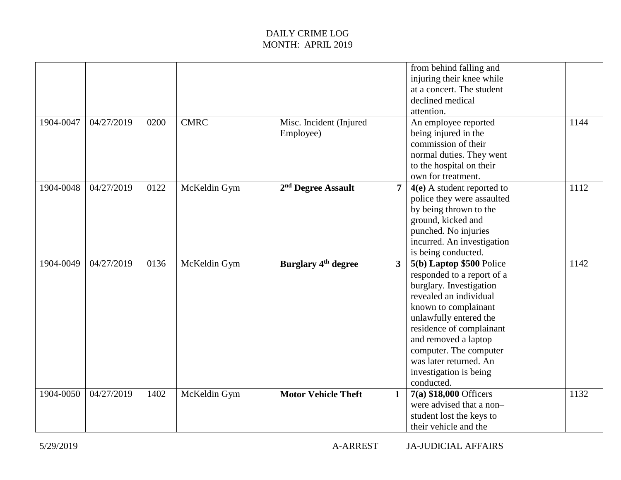| 1904-0047 | 04/27/2019 | 0200 | <b>CMRC</b>  | Misc. Incident (Injured                          | from behind falling and<br>injuring their knee while<br>at a concert. The student<br>declined medical<br>attention.<br>An employee reported                                                                                                                                                                   | 1144 |
|-----------|------------|------|--------------|--------------------------------------------------|---------------------------------------------------------------------------------------------------------------------------------------------------------------------------------------------------------------------------------------------------------------------------------------------------------------|------|
|           |            |      |              | Employee)                                        | being injured in the<br>commission of their<br>normal duties. They went<br>to the hospital on their<br>own for treatment.                                                                                                                                                                                     |      |
| 1904-0048 | 04/27/2019 | 0122 | McKeldin Gym | 2 <sup>nd</sup> Degree Assault<br>$\overline{7}$ | $4(e)$ A student reported to<br>police they were assaulted<br>by being thrown to the<br>ground, kicked and<br>punched. No injuries<br>incurred. An investigation<br>is being conducted.                                                                                                                       | 1112 |
| 1904-0049 | 04/27/2019 | 0136 | McKeldin Gym | <b>Burglary 4th degree</b><br>3                  | 5(b) Laptop \$500 Police<br>responded to a report of a<br>burglary. Investigation<br>revealed an individual<br>known to complainant<br>unlawfully entered the<br>residence of complainant<br>and removed a laptop<br>computer. The computer<br>was later returned. An<br>investigation is being<br>conducted. | 1142 |
| 1904-0050 | 04/27/2019 | 1402 | McKeldin Gym | <b>Motor Vehicle Theft</b><br>$\mathbf{1}$       | 7(a) \$18,000 Officers<br>were advised that a non-<br>student lost the keys to<br>their vehicle and the                                                                                                                                                                                                       | 1132 |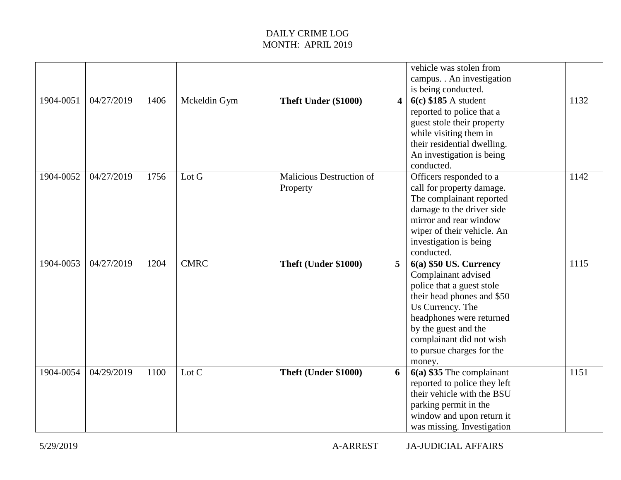|           |            |      |              |                                      |                         | vehicle was stolen from<br>campus. . An investigation<br>is being conducted.                                                                                                                                                                          |      |
|-----------|------------|------|--------------|--------------------------------------|-------------------------|-------------------------------------------------------------------------------------------------------------------------------------------------------------------------------------------------------------------------------------------------------|------|
| 1904-0051 | 04/27/2019 | 1406 | Mckeldin Gym | Theft Under (\$1000)                 | $\overline{\mathbf{4}}$ | $6(c)$ \$185 A student<br>reported to police that a<br>guest stole their property<br>while visiting them in<br>their residential dwelling.<br>An investigation is being<br>conducted.                                                                 | 1132 |
| 1904-0052 | 04/27/2019 | 1756 | Lot G        | Malicious Destruction of<br>Property |                         | Officers responded to a<br>call for property damage.<br>The complainant reported<br>damage to the driver side<br>mirror and rear window<br>wiper of their vehicle. An<br>investigation is being<br>conducted.                                         | 1142 |
| 1904-0053 | 04/27/2019 | 1204 | <b>CMRC</b>  | Theft (Under \$1000)                 | 5                       | $6(a)$ \$50 US. Currency<br>Complainant advised<br>police that a guest stole<br>their head phones and \$50<br>Us Currency. The<br>headphones were returned<br>by the guest and the<br>complainant did not wish<br>to pursue charges for the<br>money. | 1115 |
| 1904-0054 | 04/29/2019 | 1100 | Lot C        | Theft (Under \$1000)                 | 6                       | $6(a)$ \$35 The complainant<br>reported to police they left<br>their vehicle with the BSU<br>parking permit in the<br>window and upon return it<br>was missing. Investigation                                                                         | 1151 |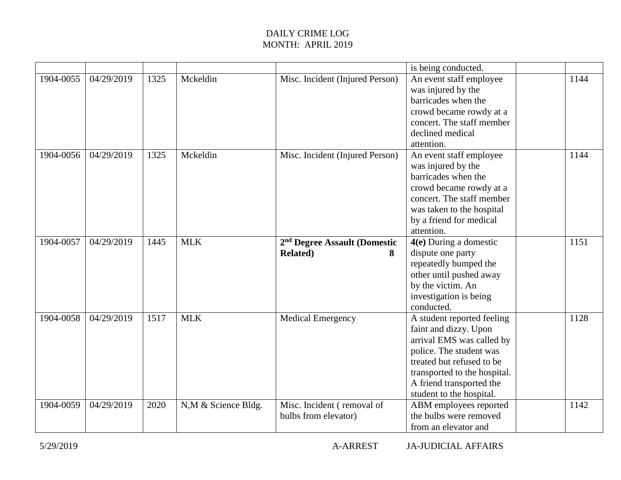|           |            |      |                     |                                                                   | is being conducted.                                                                                                                                                                                                              |      |
|-----------|------------|------|---------------------|-------------------------------------------------------------------|----------------------------------------------------------------------------------------------------------------------------------------------------------------------------------------------------------------------------------|------|
| 1904-0055 | 04/29/2019 | 1325 | Mckeldin            | Misc. Incident (Injured Person)                                   | An event staff employee<br>was injured by the<br>barricades when the<br>crowd became rowdy at a<br>concert. The staff member<br>declined medical<br>attention.                                                                   | 1144 |
| 1904-0056 | 04/29/2019 | 1325 | Mckeldin            | Misc. Incident (Injured Person)                                   | An event staff employee<br>was injured by the<br>barricades when the<br>crowd became rowdy at a<br>concert. The staff member<br>was taken to the hospital<br>by a friend for medical<br>attention.                               | 1144 |
| 1904-0057 | 04/29/2019 | 1445 | <b>MLK</b>          | 2 <sup>nd</sup> Degree Assault (Domestic<br><b>Related</b> )<br>8 | 4(e) During a domestic<br>dispute one party<br>repeatedly bumped the<br>other until pushed away<br>by the victim. An<br>investigation is being<br>conducted.                                                                     | 1151 |
| 1904-0058 | 04/29/2019 | 1517 | <b>MLK</b>          | <b>Medical Emergency</b>                                          | A student reported feeling<br>faint and dizzy. Upon<br>arrival EMS was called by<br>police. The student was<br>treated but refused to be<br>transported to the hospital.<br>A friend transported the<br>student to the hospital. | 1128 |
| 1904-0059 | 04/29/2019 | 2020 | N,M & Science Bldg. | Misc. Incident (removal of<br>bulbs from elevator)                | ABM employees reported<br>the bulbs were removed<br>from an elevator and                                                                                                                                                         | 1142 |

5/29/2019 A-ARREST JA-JUDICIAL AFFAIRS